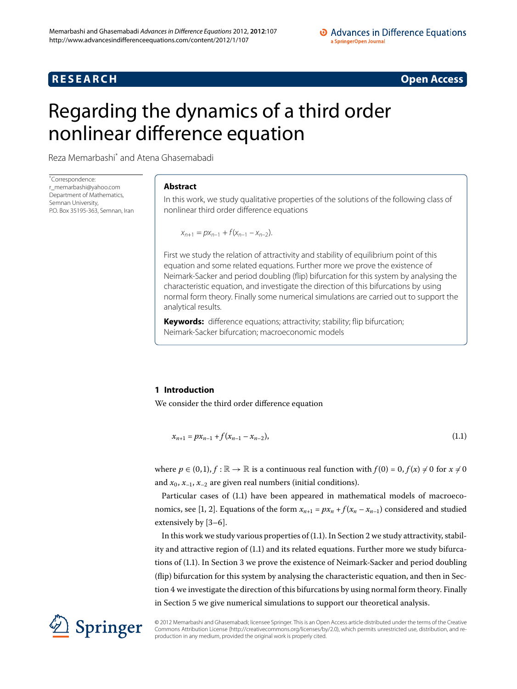## **RESEARCH CONSTRUCTER ACCESS**

# <span id="page-0-0"></span>Regarding the dynamics of a third order nonlinear difference equation

Reza Memarbashi[\\*](#page-0-0) and Atena Ghasemabadi

\* Correspondence: [r\\_memarbashi@yahoo.com](mailto:r_memarbashi@yahoo.com) Department of Mathematics, Semnan University, P.O. Box 35195-363, Semnan, Iran

#### **Abstract**

In this work, we study qualitative properties of the solutions of the following class of nonlinear third order difference equations

 $x_{n+1} = px_{n-1} + f(x_{n-1} - x_{n-2}).$ 

First we study the relation of attractivity and stability of equilibrium point of this equation and some related equations. Further more we prove the existence of Neimark-Sacker and period doubling (flip) bifurcation for this system by analysing the characteristic equation, and investigate the direction of this bifurcations by using normal form theory. Finally some numerical simulations are carried out to support the analytical results.

<span id="page-0-1"></span>**Keywords:** difference equations; attractivity; stability; flip bifurcation; Neimark-Sacker bifurcation; macroeconomic models

### **1 Introduction**

We consider the third order difference equation

$$
x_{n+1} = px_{n-1} + f(x_{n-1} - x_{n-2}),
$$
\n(1.1)

where  $p \in (0,1), f : \mathbb{R} \to \mathbb{R}$  is a continuous real function with  $f(0) = 0, f(x) \neq 0$  for  $x \neq 0$ and  $x_0$ ,  $x_{-1}$ ,  $x_{-2}$  are given real numbers (initial conditions).

Particular cases of (1.1) have been appeared in mathematical models of macroeco-nomics[,](#page-14-0) see [1, 2]. Equations of the form  $x_{n+1} = px_n + f(x_n - x_{n-1})$  considered and studied extensively by  $[3-6]$  $[3-6]$ .

In this work we study various properties of  $(1.1)$  $(1.1)$  $(1.1)$ . In Section 2 we study attractivity, stabil-ity and attractive region of (1[.](#page-0-1)1) and its related equations. Further more we study bifurcations of (1.1). In Section 3 we prove the existence of Neimark-Sacker and period doubling (flip) bifurcation for this system by analysing the characteristic equation, and then in Section 4 we investigate the direction of this bifurcations by using normal form theory. Finally in Section 5 we give numerical simulations to support our theoretical analysis.



© 2012 Memarbashi and Ghasemabadi; licensee Springer. This is an Open Access article distributed under the terms of the Creative Commons Attribution License (<http://creativecommons.org/licenses/by/2.0>), which permits unrestricted use, distribution, and reproduction in any medium, provided the original work is properly cited.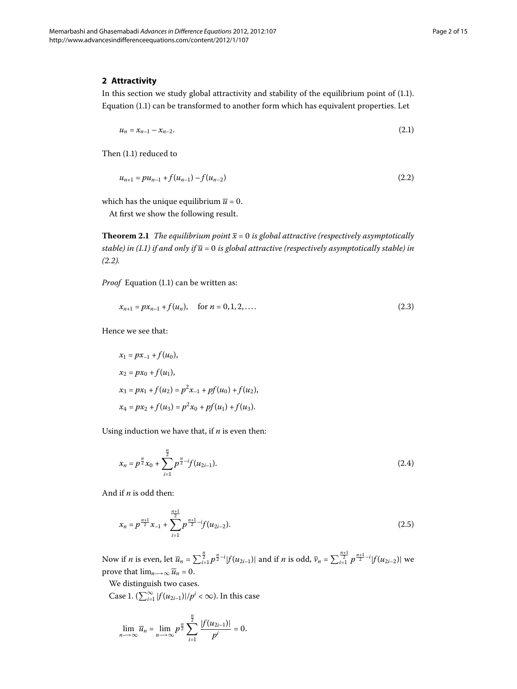#### <span id="page-1-0"></span>**2 Attractivity**

In this section we study global attractivity and stability of the equilibrium point of  $(1.1)$ . Equation (1[.](#page-0-1)1) can be transformed to another form which has equivalent properties. Let

<span id="page-1-1"></span>
$$
u_n = x_{n-1} - x_{n-2}.\tag{2.1}
$$

Then  $(1.1)$  $(1.1)$  $(1.1)$  reduced to

$$
u_{n+1} = pu_{n-1} + f(u_{n-1}) - f(u_{n-2})
$$
\n(2.2)

which has the unique equilibrium  $\overline{u} = 0$ .

At first we show the following result.

**Theorem 2.1** The equilibrium point  $\bar{x} = 0$  is global attractive (respectively asymptotically *stable) in (1[.](#page-0-1)1) if and only if*  $\overline{u}$  = 0 *is global attractive (respectively asymptotically stable) in*  $(2.2)$ .

*Proof* Equation (1.1) can be written as:

$$
x_{n+1} = px_{n-1} + f(u_n), \quad \text{for } n = 0, 1, 2, \dots
$$
 (2.3)

Hence we see that:

$$
x_1 = px_{-1} + f(u_0),
$$
  
\n
$$
x_2 = px_0 + f(u_1),
$$
  
\n
$$
x_3 = px_1 + f(u_2) = p^2x_{-1} + pf(u_0) + f(u_2),
$$
  
\n
$$
x_4 = px_2 + f(u_3) = p^2x_0 + pf(u_1) + f(u_3).
$$

Using induction we have that, if *n* is even then:

$$
x_n = p^{\frac{n}{2}} x_0 + \sum_{i=1}^{\frac{n}{2}} p^{\frac{n}{2} - i} f(u_{2i-1}).
$$
\n(2.4)

And if *n* is odd then:

$$
x_n = p^{\frac{n+1}{2}} x_{-1} + \sum_{i=1}^{\frac{n+1}{2}} p^{\frac{n+1}{2} - i} f(u_{2i-2}).
$$
\n(2.5)

Now if *n* is even, let  $\overline{u}_n = \sum_{i=1}^{\frac{n}{2}} p^{\frac{n}{2} - i} |f(u_{2i-1})|$  and if *n* is odd,  $\overline{v}_n = \sum_{i=1}^{\frac{n+1}{2}} p^{\frac{n+1}{2} - i} |f(u_{2i-2})|$  we prove that  $\lim_{n\to\infty} \overline{u}_n = 0$ .

We distinguish two cases.

Case 1.  $(\sum_{i=1}^{\infty} |f(u_{2i-1})|/p^i < \infty)$ . In this case

$$
\lim_{n\to\infty}\overline{u}_n=\lim_{n\to\infty}p^{\frac{n}{2}}\sum_{i=1}^{\frac{n}{2}}\frac{|f(u_{2i-1})|}{p^i}=0.
$$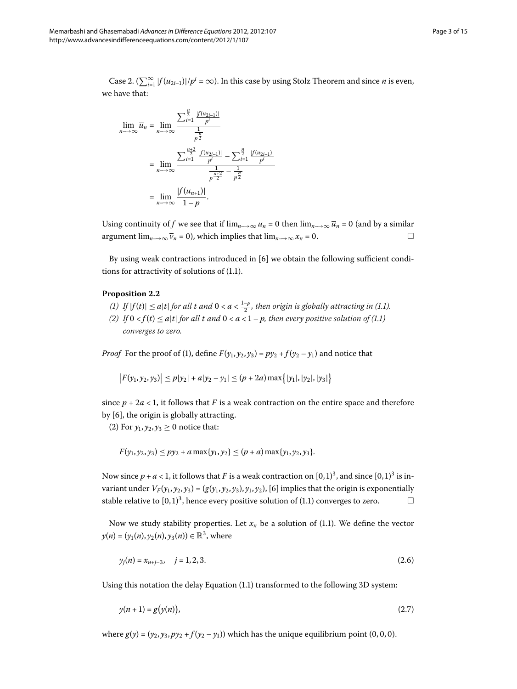Case 2.  $(\sum_{i=1}^{\infty} |f(u_{2i-1})|/p^i = \infty)$ . In this case by using Stolz Theorem and since *n* is even, we have that:

$$
\lim_{n \to \infty} \overline{u}_n = \lim_{n \to \infty} \frac{\sum_{i=1}^{\frac{n}{2}} \frac{|f(u_{2i-1})|}{p^i}}{\frac{1}{p^{\frac{n}{2}}}}
$$
\n
$$
= \lim_{n \to \infty} \frac{\sum_{i=1}^{\frac{n+2}{2}} \frac{|f(u_{2i-1})|}{p^i} - \sum_{i=1}^{\frac{n}{2}} \frac{|f(u_{2i-1})|}{p^i}}{\frac{1}{p^{\frac{n+2}{2}}} - \frac{1}{p^{\frac{n}{2}}}}
$$
\n
$$
= \lim_{n \to \infty} \frac{|f(u_{n+1})|}{1-p}.
$$

Using continuity of *f* we see that if  $\lim_{n\to\infty} u_n = 0$  then  $\lim_{n\to\infty} \overline{u}_n = 0$  (and by a similar argument  $\lim_{n\to\infty} \overline{\nu}_n = 0$ , which implies that  $\lim_{n\to\infty} x_n = 0$ .

By using weak contractions introduced in  $[6]$  $[6]$  we obtain the following sufficient conditions for attractivity of solutions of  $(1.1)$  $(1.1)$  $(1.1)$ .

#### **Proposition 2.2**

- *(1)* If  $|f(t)| \leq a|t|$  for all  $t$  and  $0 < a < \frac{1-p}{2}$ , then origin is globally attracting in (1.1).
- *(2) If*  $0 < f(t) \leq a|t|$  *for all t and*  $0 < a < 1 p$ *, then every positive solution of (1[.](#page-0-1)1) converges to zero.*

*Proof* For the proof of (1), define  $F(y_1, y_2, y_3) = py_2 + f(y_2 - y_1)$  and notice that

$$
|F(y_1, y_2, y_3)| \leq p|y_2| + a|y_2 - y_1| \leq (p + 2a) \max\{|y_1|, |y_2|, |y_3|\}
$$

since  $p + 2a < 1$ , it follows that *F* is a weak contraction on the entire space and therefore by  $[6]$ , the origin is globally attracting.

(2) For  $y_1, y_2, y_3 \ge 0$  notice that:

<span id="page-2-1"></span>
$$
F(y_1, y_2, y_3) \leq py_2 + a \max\{y_1, y_2\} \leq (p + a) \max\{y_1, y_2, y_3\}.
$$

Now since  $p + a < 1$ , it follows that *F* is a weak contraction on [0,1]<sup>3</sup>, and since [0,1]<sup>3</sup> is invariant under  $V_F(y_1, y_2, y_3) = (g(y_1, y_2, y_3), y_1, y_2)$ , [6] implies that the origin is exponentially stable relative to  $[0, 1)^3$ , hence every positive solution of (1.1) converges to zero.  $\Box$ 

Now we study stability properties. Let  $x_n$  be a solution of (1.1). We define the vector *y*(*n*) = (*y*<sub>1</sub>(*n*), *y*<sub>2</sub>(*n*), *y*<sub>3</sub>(*n*)) ∈  $\mathbb{R}^3$ , where

<span id="page-2-0"></span>
$$
y_j(n) = x_{n+j-3}, \quad j = 1, 2, 3. \tag{2.6}
$$

Using this notation the delay Equation (1[.](#page-0-1)1) transformed to the following 3D system:

$$
y(n+1) = g(y(n)),\tag{2.7}
$$

where  $g(y) = (y_2, y_3, py_2 + f(y_2 - y_1))$  which has the unique equilibrium point (0, 0, 0).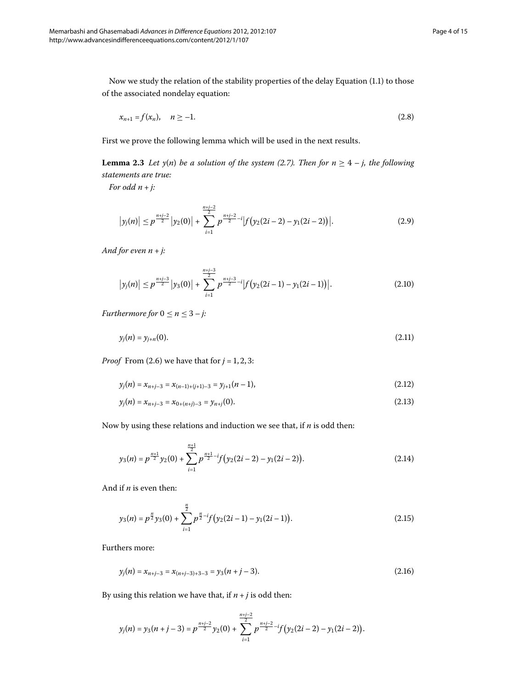Now we study the relation of the stability properties of the delay Equation (1[.](#page-0-1)1) to those of the associated nondelay equation:

<span id="page-3-0"></span>
$$
x_{n+1} = f(x_n), \quad n \ge -1. \tag{2.8}
$$

First we prove the following lemma which will be used in the next results.

**Lemma 2.3** Let  $y(n)$  be a solution of the system (2.7). Then for  $n \geq 4 - j$ , the following *statements are true:*

*For odd n* + *j:*

$$
\left|y_j(n)\right| \leq p^{\frac{n+j-2}{2}}\left|y_2(0)\right| + \sum_{i=1}^{\frac{n+j-2}{2}} p^{\frac{n+j-2}{2}-i} \left|f\left(y_2(2i-2) - y_1(2i-2)\right)\right|.
$$
 (2.9)

*And for even n* + *j:*

$$
\left|y_j(n)\right| \leq p^{\frac{n+j-3}{2}}\left|y_3(0)\right| + \sum_{i=1}^{\frac{n+j-3}{2}} p^{\frac{n+j-3}{2}-i} \left|f\left(y_2(2i-1) - y_1(2i-1)\right)\right|.
$$
 (2.10)

*Furthermore for*  $0 \le n \le 3 - j$ *:* 

$$
y_j(n) = y_{j+n}(0). \tag{2.11}
$$

*Proof* From (2.6) we have that for  $j = 1, 2, 3$ :

$$
y_j(n) = x_{n+j-3} = x_{(n-1)+(j+1)-3} = y_{j+1}(n-1),
$$
\n(2.12)

$$
y_j(n) = x_{n+j-3} = x_{0+(n+j)-3} = y_{n+j}(0). \tag{2.13}
$$

Now by using these relations and induction we see that, if *n* is odd then:

$$
y_3(n) = p^{\frac{n+1}{2}} y_2(0) + \sum_{i=1}^{\frac{n+1}{2}} p^{\frac{n+1}{2} - i} f(y_2(2i-2) - y_1(2i-2)).
$$
\n(2.14)

And if *n* is even then:

$$
y_3(n) = p^{\frac{n}{2}} y_3(0) + \sum_{i=1}^{\frac{n}{2}} p^{\frac{n}{2} - i} f(y_2(2i - 1) - y_1(2i - 1)).
$$
\n(2.15)

Furthers more:

$$
y_j(n) = x_{n+j-3} = x_{(n+j-3)+3-3} = y_3(n+j-3).
$$
 (2.16)

By using this relation we have that, if  $n + j$  is odd then:

$$
y_j(n) = y_3(n+j-3) = p^{\frac{n+j-2}{2}}y_2(0) + \sum_{i=1}^{\frac{n+j-2}{2}} p^{\frac{n+j-2}{2}-i} f(y_2(2i-2) - y_1(2i-2)).
$$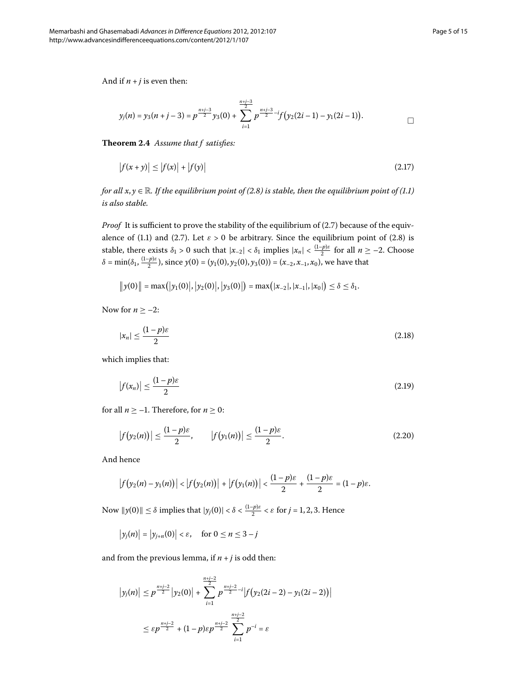And if  $n + j$  is even then:

<span id="page-4-0"></span>
$$
y_j(n) = y_3(n+j-3) = p^{\frac{n+j-3}{2}}y_3(0) + \sum_{i=1}^{\frac{n+j-3}{2}} p^{\frac{n+j-3}{2}-i} f(y_2(2i-1) - y_1(2i-1)).
$$

**Theorem .** *Assume that f satisfies:*

$$
|f(x + y)| \le |f(x)| + |f(y)| \tag{2.17}
$$

*for all*  $x, y \in \mathbb{R}$ *[.](#page-0-1) If the equilibrium point of (2.8) is stable, then the equilibrium point of (1.1) is also stable.*

*Proof* It is sufficient to prove the stability of the equilibrium of (2.7) because of the equiv-alence of (1[.](#page-3-0)1) and (2.7). Let  $\varepsilon > 0$  be arbitrary. Since the equilibrium point of (2.8) is stable, there exists  $\delta_1 > 0$  such that  $|x_{-2}| < \delta_1$  implies  $|x_n| < \frac{(1-p)\varepsilon}{2}$  for all  $n \ge -2$ . Choose  $\delta = \min(\delta_1, \frac{(1-p)\varepsilon}{2})$ , since  $y(0) = (y_1(0), y_2(0), y_3(0)) = (x_{-2}, x_{-1}, x_0)$ , we have that

$$
||y(0)|| = \max(|y_1(0)|, |y_2(0)|, |y_3(0)|) = \max(|x_{-2}|, |x_{-1}|, |x_0|) \le \delta \le \delta_1.
$$

Now for  $n \ge -2$ :

$$
|x_n| \le \frac{(1-p)\varepsilon}{2} \tag{2.18}
$$

which implies that:

$$
\left|f(x_n)\right| \le \frac{(1-p)\varepsilon}{2} \tag{2.19}
$$

for all  $n \ge -1$ . Therefore, for  $n \ge 0$ :

$$
|f(y_2(n))| \le \frac{(1-p)\varepsilon}{2}, \qquad |f(y_1(n))| \le \frac{(1-p)\varepsilon}{2}.
$$
 (2.20)

And hence

$$
\left|f(y_2(n)-y_1(n))\right| < \left|f(y_2(n))\right| + \left|f(y_1(n))\right| < \frac{(1-p)\varepsilon}{2} + \frac{(1-p)\varepsilon}{2} = (1-p)\varepsilon.
$$

Now  $||y(0)|| \le \delta$  implies that  $|y_j(0)| < \delta < \frac{(1-p)\varepsilon}{2} < \varepsilon$  for  $j = 1, 2, 3$ . Hence

$$
\big|y_j(n)\big| = \big|y_{j+n}(0)\big| < \varepsilon, \quad \text{for } 0 \le n \le 3-j
$$

and from the previous lemma, if  $n + j$  is odd then:

$$
\begin{aligned} \left| y_j(n) \right| &\leq p^{\frac{n+j-2}{2}} \left| y_2(0) \right| + \sum_{i=1}^{\frac{n+j-2}{2}} p^{\frac{n+j-2}{2} - i} \left| f \left( y_2(2i-2) - y_1(2i-2) \right) \right| \\ &\leq \varepsilon p^{\frac{n+j-2}{2}} + (1-p) \varepsilon p^{\frac{n+j-2}{2}} \sum_{i=1}^{\frac{n+j-2}{2}} p^{-i} = \varepsilon \end{aligned}
$$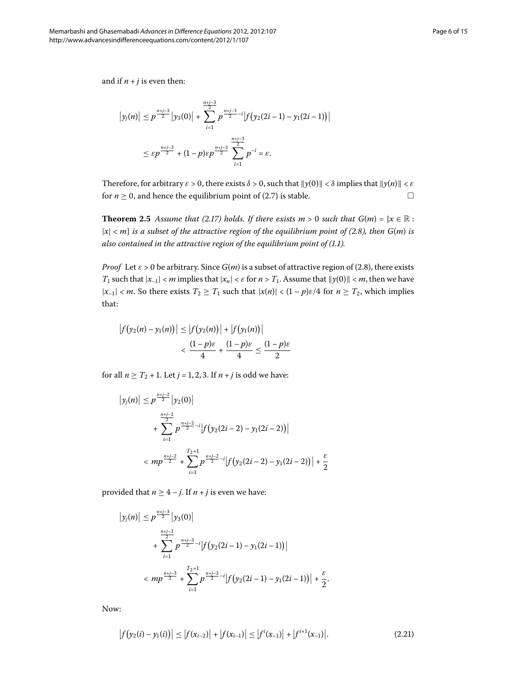and if  $n + j$  is even then:

$$
\left|y_j(n)\right| \le p^{\frac{n+j-3}{2}}\left|y_3(0)\right| + \sum_{i=1}^{\frac{n+j-3}{2}} p^{\frac{n+j-3}{2}-i} \left|f\left(y_2(2i-1) - y_1(2i-1)\right)\right|
$$
  

$$
\le \varepsilon p^{\frac{n+j-3}{2}} + (1-p)\varepsilon p^{\frac{n+j-3}{2}} \sum_{i=1}^{\frac{n+j-3}{2}} p^{-i} = \varepsilon.
$$

Therefore, for arbitrary  $\varepsilon > 0$ , there exists  $\delta > 0$ , such that  $\|\gamma(0)\| < \delta$  implies that  $\|\gamma(n)\| < \varepsilon$ for  $n > 0$ , and hence the equilibrium point of (2.7) is stable.

**Theorem 2.5** Assume that (2.17) holds. If there exists  $m > 0$  such that  $G(m) = \{x \in \mathbb{R} :$  $|x| < m$  *is a subset of the attractive region of the equilibrium point of (2.8), then G(m) is also contained in the attractive region of the equilibrium point of (1.1).* 

*Proof* Let  $\varepsilon > 0$  be arbitrary. Since  $G(m)$  is a subset of attractive region of (2.8), there exists *T*<sub>1</sub> such that  $|x_{-1}| < m$  implies that  $|x_n| < \varepsilon$  for  $n > T_1$ . Assume that  $||y(0)|| < m$ , then we have  $|x_{-1}| < m$ . So there exists  $T_2 \geq T_1$  such that  $|x(n)| < (1-p)\varepsilon/4$  for  $n \geq T_2$ , which implies that:

$$
|f(y_2(n) - y_1(n))| \le |f(y_2(n))| + |f(y_1(n))|
$$
  

$$
< \frac{(1-p)\varepsilon}{4} + \frac{(1-p)\varepsilon}{4} \le \frac{(1-p)\varepsilon}{2}
$$

for all  $n \ge T_2 + 1$ . Let  $j = 1, 2, 3$ . If  $n + j$  is odd we have:

$$
\begin{aligned} \left| y_j(n) \right| &\leq p^{\frac{n+j-2}{2}} \left| y_2(0) \right| \\ &+ \sum_{i=1}^{\frac{n+j-2}{2}} p^{\frac{n+j-2}{2}-i} \left| f \left( y_2(2i-2) - y_1(2i-2) \right) \right| \\ &< m p^{\frac{n+j-2}{2}} + \sum_{i=1}^{T_2+1} p^{\frac{n+j-2}{2}-i} \left| f \left( y_2(2i-2) - y_1(2i-2) \right) \right| + \frac{\varepsilon}{2} \end{aligned}
$$

provided that  $n \geq 4 - j$ . If  $n + j$  is even we have:

$$
\begin{aligned} \left| y_j(n) \right| &\leq p^{\frac{n+j-3}{2}} \left| y_3(0) \right| \\ &+ \sum_{i=1}^{\frac{n+j-3}{2}} p^{\frac{n+j-3}{2}-i} \left| f \left( y_2(2i-1) - y_1(2i-1) \right) \right| \\ &< m p^{\frac{n+j-3}{2}} + \sum_{i=1}^{T_2+1} p^{\frac{n+j-3}{2}-i} \left| f \left( y_2(2i-1) - y_1(2i-1) \right) \right| + \frac{\varepsilon}{2} .\end{aligned}
$$

Now:

$$
\left|f(y_2(i) - y_1(i))\right| \le \left|f(x_{i-2})\right| + \left|f(x_{i-1})\right| \le \left|f'(x_{-1})\right| + \left|f^{i+1}(x_{-1})\right|.
$$
\n(2.21)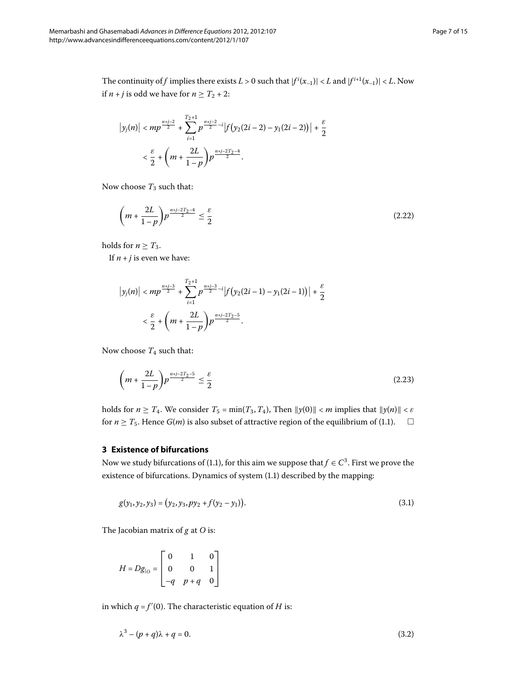The continuity of *f* implies there exists  $L > 0$  such that  $|f^{i}(x_{-1})| < L$  and  $|f^{i+1}(x_{-1})| < L$ . Now if *n* + *j* is odd we have for  $n \geq T_2 + 2$ :

$$
\left|y_j(n)\right| < mp^{\frac{n+j-2}{2}} + \sum_{i=1}^{T_2+1} p^{\frac{n+j-2}{2} - i} \left|f\left(y_2(2i-2) - y_1(2i-2)\right)\right| + \frac{\varepsilon}{2} \\ < \frac{\varepsilon}{2} + \left(m + \frac{2L}{1-p}\right) p^{\frac{n+j-2T_2-4}{2}}.
$$

Now choose  $T_3$  such that:

$$
\left(m + \frac{2L}{1-p}\right) p^{\frac{n+j-2T_2-4}{2}} \le \frac{\varepsilon}{2}
$$
\n(2.22)

holds for  $n \geq T_3$ .

If  $n + j$  is even we have:

$$
\begin{split} \left|y_j(n)\right|&
$$

<span id="page-6-0"></span>Now choose  $T_4$  such that:

<span id="page-6-1"></span>
$$
\left(m+\frac{2L}{1-p}\right)p^{\frac{n+j-2T_2-5}{2}} \le \frac{\varepsilon}{2}
$$
\n
$$
(2.23)
$$

holds for  $n \geq T_4$ . We consider  $T_5 = \min(T_3, T_4)$ , Then  $||y(0)|| < m$  implies that  $||y(n)|| < \varepsilon$ for  $n \geq T_5$ [.](#page-0-1) Hence  $G(m)$  is also subset of attractive region of the equilibrium of (1.1).  $\Box$ 

#### **3 Existence of bifurcations**

Now we study bifurcations of (1.1), for this aim we suppose that  $f \in C^3$ . First we prove the existence of bifurcations. Dynamics of system (1.1) described by the mapping:

$$
g(y_1, y_2, y_3) = (y_2, y_3, py_2 + f(y_2 - y_1)).
$$
\n(3.1)

The Jacobian matrix of *g* at *O* is:

<span id="page-6-2"></span>
$$
H = Dg_{|O} = \begin{bmatrix} 0 & 1 & 0 \\ 0 & 0 & 1 \\ -q & p+q & 0 \end{bmatrix}
$$

in which  $q$  =  $f^{\prime}(0).$  The characteristic equation of  $H$  is:

$$
\lambda^3 - (p+q)\lambda + q = 0. \tag{3.2}
$$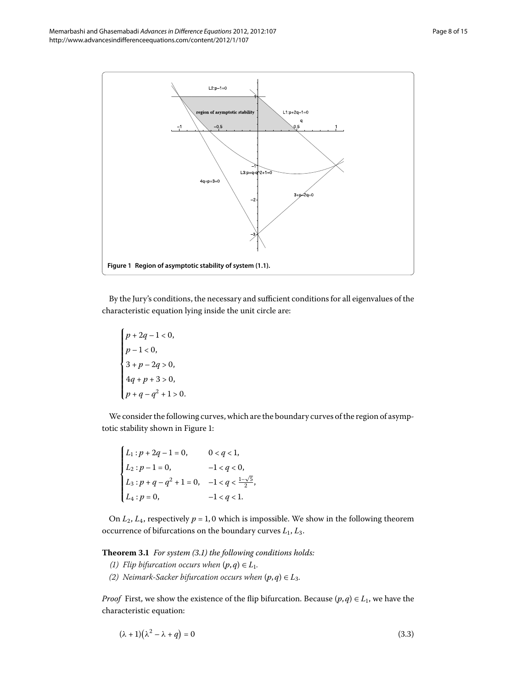

<span id="page-7-0"></span>By the Jury's conditions, the necessary and sufficient conditions for all eigenvalues of the characteristic equation lying inside the unit circle are:

$$
\begin{cases} p+2q-1 < 0, \\ p-1 < 0, \\ 3+p-2q > 0, \\ 4q+p+3 > 0, \\ p+q-q^2+1 > 0. \end{cases}
$$

We consider the following curves, which are the boundary curves of the region of asymptotic stability shown in Figure 1:

$$
\begin{cases}\nL_1: p + 2q - 1 = 0, & 0 < q < 1, \\
L_2: p - 1 = 0, & -1 < q < 0, \\
L_3: p + q - q^2 + 1 = 0, & -1 < q < \frac{1 - \sqrt{5}}{2}, \\
L_4: p = 0, & -1 < q < 1.\n\end{cases}
$$

On  $L_2$ ,  $L_4$ , respectively  $p = 1, 0$  which is impossible. We show in the following theorem occurrence of bifurcations on the boundary curves *L*, *L*.

**Theorem 3.1** For system (3.1) the following conditions holds:

- *(1)* Flip bifurcation occurs when  $(p, q) \in L_1$ .
- *(2)* Neimark-Sacker bifurcation occurs when  $(p,q) \in L_3$ .

*Proof* First, we show the existence of the flip bifurcation. Because  $(p, q) \in L_1$ , we have the characteristic equation:

$$
(\lambda + 1)(\lambda^2 - \lambda + q) = 0 \tag{3.3}
$$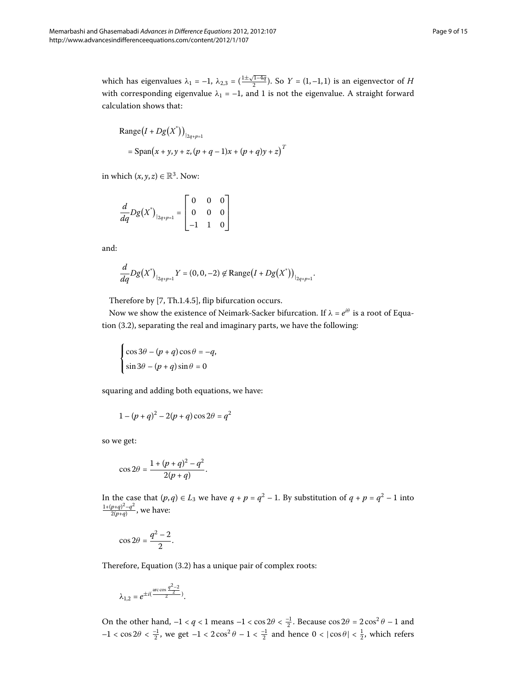Range
$$
(I + Dg(X^*))
$$
<sub>| $2q+p=1$</sub>   
= Span $(x + y, y + z, (p + q - 1)x + (p + q)y + z)$ <sup>T</sup>

in which  $(x, y, z) \in \mathbb{R}^3$ . Now:

$$
\frac{d}{dq}Dg(X^*)_{|_{2q+p=1}} = \begin{bmatrix} 0 & 0 & 0 \\ 0 & 0 & 0 \\ -1 & 1 & 0 \end{bmatrix}
$$

and:

$$
\frac{d}{dq}Dg(X^*)_{|_{2q+p=1}}Y = (0,0,-2) \not\in \text{Range}\big(I + Dg(X^*)\big)_{|_{2q+p=1}}.
$$

Therefore by  $[7, Th.1.4.5]$  $[7, Th.1.4.5]$ , flip bifurcation occurs.

Now we show the existence of Neimark-Sacker bifurcation. If  $\lambda = e^{i\theta}$  is a root of Equation  $(3.2)$ , separating the real and imaginary parts, we have the following:

$$
\begin{cases} \cos 3\theta - (p+q)\cos \theta = -q, \\ \sin 3\theta - (p+q)\sin \theta = 0 \end{cases}
$$

squaring and adding both equations, we have:

$$
1 - (p + q)^2 - 2(p + q)\cos 2\theta = q^2
$$

so we get:

$$
\cos 2\theta = \frac{1 + (p+q)^2 - q^2}{2(p+q)}.
$$

In the case that  $(p,q) \in L_3$  we have  $q + p = q^2 - 1$ . By substitution of  $q + p = q^2 - 1$  into  $\frac{1+(p+q)^2-q^2}{2(p+q)}$ , we have:

$$
\cos 2\theta = \frac{q^2 - 2}{2}.
$$

Therefore, Equation  $(3.2)$  $(3.2)$  $(3.2)$  has a unique pair of complex roots:

$$
\lambda_{1,2} = e^{\pm i(\frac{\arccos \frac{q^2-2}{2}}{2})}.
$$

On the other hand,  $-1 < q < 1$  means  $-1 < \cos 2\theta < \frac{-1}{2}$ . Because  $\cos 2\theta = 2\cos^2 \theta - 1$  and  $-1 < \cos 2\theta < \frac{-1}{2}$ , we get  $-1 < 2 \cos^2 \theta - 1 < \frac{-1}{2}$  and hence  $0 < |\cos \theta| < \frac{1}{2}$ , which refers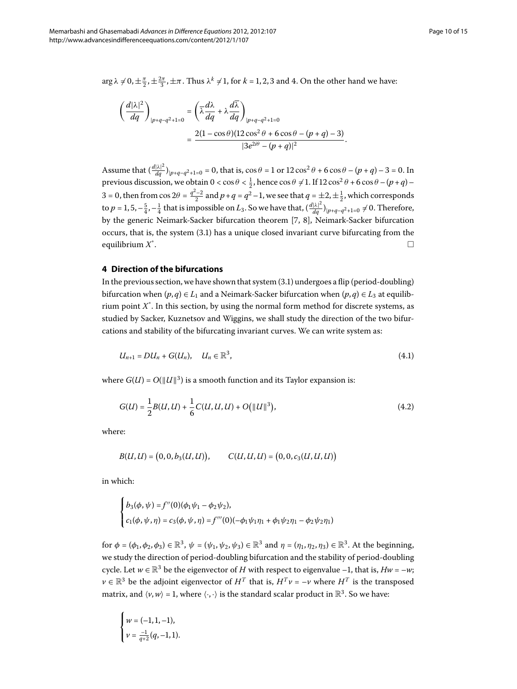$\arg \lambda \neq 0, \pm \frac{\pi}{2}, \pm \frac{2\pi}{3}, \pm \pi$ . Thus  $\lambda^k \neq 1$ , for  $k = 1, 2, 3$  and 4. On the other hand we have:

$$
\left(\frac{d|\lambda|^2}{dq}\right)_{|p+q-q^2+1=0} = \left(\overline{\lambda}\frac{d\lambda}{dq} + \lambda\frac{d\overline{\lambda}}{dq}\right)_{|p+q-q^2+1=0}
$$

$$
= \frac{2(1-\cos\theta)(12\cos^2\theta + 6\cos\theta - (p+q)-3)}{|3e^{2i\theta} - (p+q)|^2}.
$$

<span id="page-9-0"></span>Assume that  $\left(\frac{d|\lambda|^2}{dq}\right)_{|p+q-q^2+1=0} = 0$ , that is,  $\cos \theta = 1$  or  $12 \cos^2 \theta + 6 \cos \theta - (p+q) - 3 = 0$ . In previous discussion, we obtain  $0 < \cos \theta < \frac{1}{2}$ , hence  $\cos \theta \neq 1$ . If  $12 \cos^2 \theta + 6 \cos \theta - (p+q) -$ 3 = 0, then from  $\cos 2\theta = \frac{q^2-2}{2}$  and  $p+q = q^2-1$ , we see that  $q = \pm 2, \pm \frac{1}{2}$ , which corresponds to  $p = 1, 5, -\frac{5}{4}, -\frac{1}{4}$  that is impossible on  $L_3$ . So we have that,  $\left(\frac{d|\lambda|^2}{dq}\right)_{|p+q-q^2+1=0} \neq 0$ . Therefore, by the generic Neimark-Sacker bifurcation theorem [7[,](#page-14-4) 8], Neimark-Sacker bifurcation occurs, that is, the system  $(3.1)$  has a unique closed invariant curve bifurcating from the equilibrium *X*\* . The contract of the contract of the contract of the contract of  $\Box$ 

#### **4 Direction of the bifurcations**

In the previous section, we have shown that system  $(3.1)$  $(3.1)$  $(3.1)$  undergoes a flip (period-doubling) bifurcation when  $(p, q) \in L_1$  and a Neimark-Sacker bifurcation when  $(p, q) \in L_3$  at equilibrium point  $X^*$ . In this section, by using the normal form method for discrete systems, as studied by Sacker, Kuznetsov and Wiggins, we shall study the direction of the two bifurcations and stability of the bifurcating invariant curves. We can write system as:

$$
U_{n+1} = DU_n + G(U_n), \quad U_n \in \mathbb{R}^3,
$$
\n(4.1)

where  $G(U) = O(||U||^3)$  is a smooth function and its Taylor expansion is:

$$
G(U) = \frac{1}{2}B(U, U) + \frac{1}{6}C(U, U, U) + O(||U||^3),
$$
\n(4.2)

where:

$$
B(U, U) = (0, 0, b_3(U, U)), \qquad C(U, U, U) = (0, 0, c_3(U, U, U))
$$

in which:

$$
\begin{cases}\nb_3(\phi, \psi) = f''(0)(\phi_1 \psi_1 - \phi_2 \psi_2), \\
c_1(\phi, \psi, \eta) = c_3(\phi, \psi, \eta) = f'''(0)(-\phi_1 \psi_1 \eta_1 + \phi_1 \psi_2 \eta_1 - \phi_2 \psi_2 \eta_1)\n\end{cases}
$$

for  $\phi = (\phi_1, \phi_2, \phi_3) \in \mathbb{R}^3$ ,  $\psi = (\psi_1, \psi_2, \psi_3) \in \mathbb{R}^3$  and  $\eta = (\eta_1, \eta_2, \eta_3) \in \mathbb{R}^3$ . At the beginning, we study the direction of period-doubling bifurcation and the stability of period-doubling cycle. Let  $w \in \mathbb{R}^3$  be the eigenvector of *H* with respect to eigenvalue –1, that is,  $Hw = -w$ ;  $\nu \in \mathbb{R}^3$  be the adjoint eigenvector of  $H^T$  that is,  $H^T \nu = -\nu$  where  $H^T$  is the transposed matrix, and  $\langle v, w \rangle = 1$ , where  $\langle \cdot, \cdot \rangle$  is the standard scalar product in  $\mathbb{R}^3$ . So we have:

$$
\begin{cases} w = (-1, 1, -1), \\ v = \frac{-1}{q+2}(q, -1, 1). \end{cases}
$$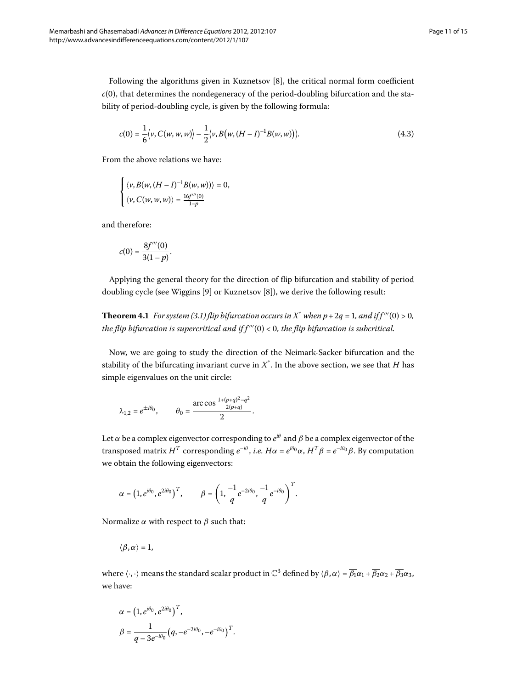Following the algorithms given in Kuznetsov  $[8]$  $[8]$ , the critical normal form coefficient  $c(0)$ , that determines the nondegeneracy of the period-doubling bifurcation and the stability of period-doubling cycle, is given by the following formula:

$$
c(0) = \frac{1}{6} \langle v, C(w, w, w) \rangle - \frac{1}{2} \langle v, B(w, (H - I)^{-1} B(w, w)) \rangle.
$$
 (4.3)

From the above relations we have:

$$
\begin{cases} \langle v, B(w, (H - I)^{-1}B(w, w)) \rangle = 0, \\ \langle v, C(w, w, w) \rangle = \frac{16f'''(0)}{1 - p} \end{cases}
$$

<span id="page-10-0"></span>and therefore:

$$
c(0) = \frac{8f'''(0)}{3(1-p)}.
$$

Applying the general theory for the direction of flip bifurcation and stability of period doubling cycle (see Wiggins [\[](#page-14-5)9] or Kuznetsov [8]), we derive the following result:

**Theorem 4[.](#page-6-1)1** For system (3.1) flip bifurcation occurs in X<sup>\*</sup> when  $p + 2q = 1$ , and if  $f'''(0) > 0$ , *the flip bifurcation is supercritical and if*  $f'''(0) < 0$ *, the flip bifurcation is subcritical.* 

Now, we are going to study the direction of the Neimark-Sacker bifurcation and the stability of the bifurcating invariant curve in *X*\* . In the above section, we see that *H* has simple eigenvalues on the unit circle:

$$
\lambda_{1,2} = e^{\pm i\theta_0}
$$
,  $\theta_0 = \frac{\arccos \frac{1+(p+q)^2-q^2}{2(p+q)}}{2}$ .

Let  $\alpha$  be a complex eigenvector corresponding to  $e^{i\theta}$  and  $\beta$  be a complex eigenvector of the transposed matrix *H<sup>T</sup>* corresponding  $e^{-i\theta}$ , *i.e. Hα* =  $e^{i\theta_0} α$ ,  $H^T β$  =  $e^{-i\theta_0} β$ . By computation we obtain the following eigenvectors:

$$
\alpha = \left(1, e^{i\theta_0}, e^{2i\theta_0}\right)^T, \qquad \beta = \left(1, \frac{-1}{q}e^{-2i\theta_0}, \frac{-1}{q}e^{-i\theta_0}\right)^T.
$$

Normalize *α* with respect to *β* such that:

$$
\langle \beta, \alpha \rangle = 1,
$$

where  $\langle \cdot, \cdot \rangle$  means the standard scalar product in  $\mathbb{C}^3$  defined by  $\langle \beta, \alpha \rangle = \overline{\beta_1} \alpha_1 + \overline{\beta_2} \alpha_2 + \overline{\beta_3} \alpha_3$ , we have:

$$
\alpha = (1, e^{i\theta_0}, e^{2i\theta_0})^T,
$$
  
\n
$$
\beta = \frac{1}{q - 3e^{-i\theta_0}} (q, -e^{-2i\theta_0}, -e^{-i\theta_0})^T.
$$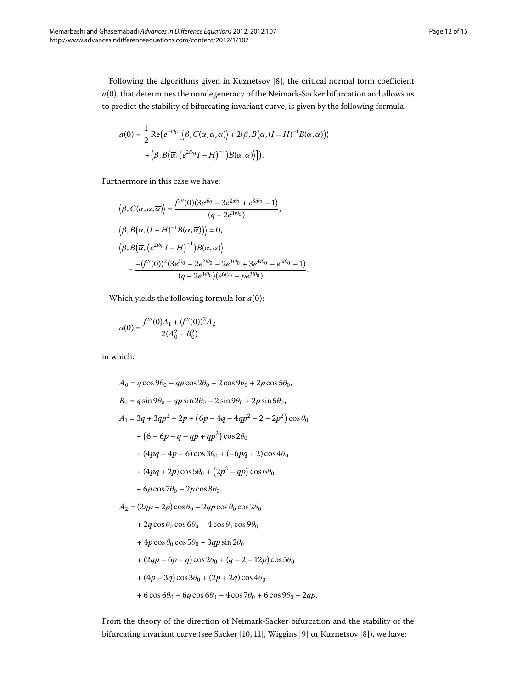Following the algorithms given in Kuznetsov [8[\]](#page-14-5), the critical normal form coefficient  $a(0)$ , that determines the nondegeneracy of the Neimark-Sacker bifurcation and allows us to predict the stability of bifurcating invariant curve, is given by the following formula:

$$
a(0) = \frac{1}{2} \operatorname{Re} \left( e^{-i\theta_0} \left[ \langle \beta, C(\alpha, \alpha, \overline{\alpha}) \rangle + 2 \langle \beta, B(\alpha, (I - H)^{-1} B(\alpha, \overline{\alpha}) \rangle \right] + \langle \beta, B(\overline{\alpha}, (e^{2i\theta_0} I - H)^{-1}) B(\alpha, \alpha) \rangle \right] \right).
$$

Furthermore in this case we have:

$$
\langle \beta, C(\alpha, \alpha, \overline{\alpha}) \rangle = \frac{f'''(0)(3e^{i\theta_0} - 3e^{2i\theta_0} + e^{3i\theta_0} - 1)}{(q - 2e^{3i\theta_0})},
$$
  

$$
\langle \beta, B(\alpha, (I - H)^{-1}B(\alpha, \overline{\alpha})) \rangle = 0,
$$
  

$$
\langle \beta, B(\overline{\alpha}, (e^{2i\theta_0}I - H)^{-1})B(\alpha, \alpha) \rangle
$$
  

$$
= \frac{-(f''(0))^2(3e^{i\theta_0} - 2e^{2i\theta_0} - 2e^{3i\theta_0} + 3e^{4i\theta_0} - e^{5i\theta_0} - 1)}{(q - 2e^{3i\theta_0})(e^{6i\theta_0} - pe^{2i\theta_0})}.
$$

Which yields the following formula for  $a(0)$ :

$$
a(0) = \frac{f'''(0)A_1 + (f''(0))^2A_2}{2(A_0^2 + B_0^2)}
$$

in which:

$$
A_0 = q\cos 9\theta_0 - qp\cos 2\theta_0 - 2\cos 9\theta_0 + 2p\cos 5\theta_0,
$$
  
\n
$$
B_0 = q\sin 9\theta_0 - qp\sin 2\theta_0 - 2\sin 9\theta_0 + 2p\sin 5\theta_0,
$$
  
\n
$$
A_1 = 3q + 3qp^2 - 2p + (6p - 4q - 4qp^2 - 2 - 2p^2)\cos \theta_0
$$
  
\n
$$
+ (6 - 6p - q - qp + qp^2)\cos 2\theta_0
$$
  
\n
$$
+ (4pq - 4p - 6)\cos 3\theta_0 + (-6pq + 2)\cos 4\theta_0
$$
  
\n
$$
+ (4pq + 2p)\cos 5\theta_0 + (2p^2 - qp)\cos 6\theta_0
$$
  
\n
$$
+ 6p\cos 7\theta_0 - 2p\cos 8\theta_0,
$$
  
\n
$$
A_2 = (2qp + 2p)\cos \theta_0 - 2qp\cos \theta_0\cos 2\theta_0
$$
  
\n
$$
+ 2q\cos \theta_0\cos 6\theta_0 - 4\cos \theta_0\cos 9\theta_0
$$
  
\n
$$
+ 4p\cos \theta_0\cos 5\theta_0 + 3qp\sin 2\theta_0
$$
  
\n
$$
+ (2qp - 6p + q)\cos 2\theta_0 + (q - 2 - 12p)\cos 5\theta_0
$$
  
\n
$$
+ (4p - 3q)\cos 3\theta_0 + (2p + 2q)\cos 4\theta_0
$$
  
\n
$$
+ 6\cos 6\theta_0 - 6q\cos 6\theta_0 - 4\cos 7\theta_0 + 6\cos 9\theta_0 - 2qp.
$$

From the theory of the direction of Neimark-Sacker bifurcation and the stability of the bifurcating invariant curve (see Sacker [\[](#page-14-7)10, 11[\]](#page-14-6), Wiggins [9] or Kuznetsov [8]), we have: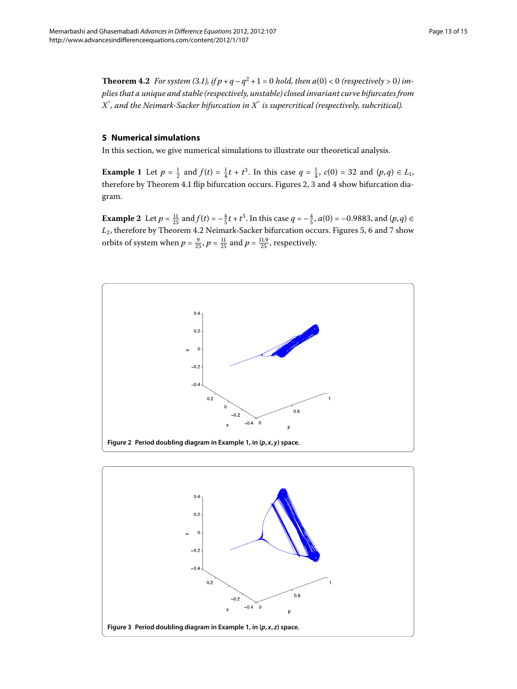<span id="page-12-4"></span><span id="page-12-3"></span><span id="page-12-0"></span>**Theorem 4[.](#page-6-1)2** For system (3.1), if  $p + q - q^2 + 1 = 0$  hold, then  $a(0) < 0$  (respectively  $> 0$ ) im*plies that a unique and stable (respectively, unstable) closed invariant curve bifurcates from X*\* *, and the Neimark-Sacker bifurcation in X*\* *is supercritical (respectively, subcritical).*

#### <span id="page-12-5"></span>**5 Numerical simulations**

In this section, we give numerical simulations to illustrate our theoretical analysis.

**Example 1** Let  $p = \frac{1}{2}$  and  $f(t) = \frac{1}{4}t + t^3$ . In this case  $q = \frac{1}{4}$ ,  $c(0) = 32$  and  $(p,q) \in L_1$ , therefore by Theorem 4[.](#page-10-0)1 flip bifurcation occurs. Figures 2, 3 and 4 show bifurcation diagram.

**Example 2** Let  $p = \frac{11}{25}$  and  $f(t) = -\frac{4}{5}t + t^3$ . In this case  $q = -\frac{4}{5}$ ,  $a(0) = -0.9883$ , and  $(p, q) \in$  $L_2$ , therefore by Theorem 4[.](#page-12-3)2 Neimark-Sacker bifurcation occurs. Figures 5[,](#page-13-1) 6 and 7 show orbits of system when  $p = \frac{9}{25}$ ,  $p = \frac{11}{25}$  and  $p = \frac{11.9}{25}$ , respectively.

<span id="page-12-1"></span>

<span id="page-12-2"></span>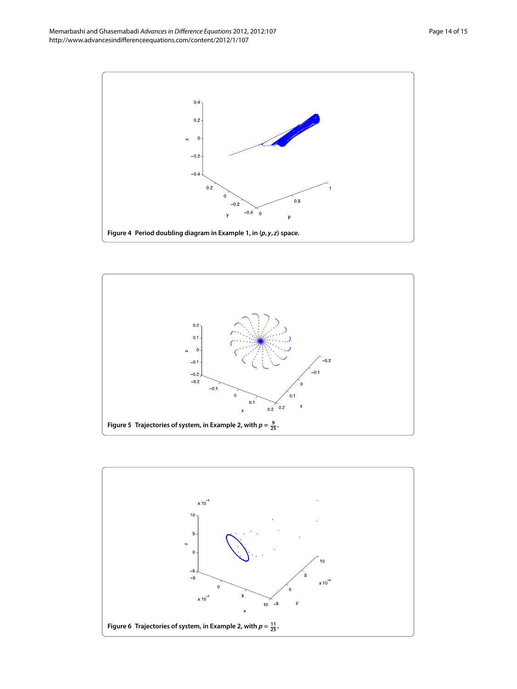<span id="page-13-0"></span>

<span id="page-13-1"></span>

<span id="page-13-2"></span>